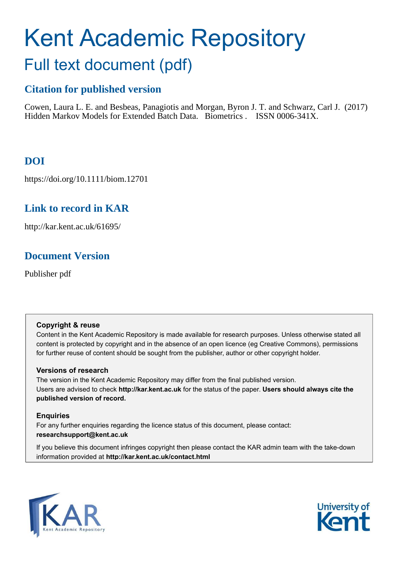# <span id="page-0-0"></span>Kent Academic Repository Full text document (pdf)

## **Citation for published version**

Cowen, Laura L. E. and Besbeas, Panagiotis and Morgan, Byron J. T. and Schwarz, Carl J. (2017) Hidden Markov Models for Extended Batch Data. Biometrics . ISSN 0006-341X.

# **DOI**

https://doi.org/10.1111/biom.12701

# **Link to record in KAR**

http://kar.kent.ac.uk/61695/

# **Document Version**

Publisher pdf

## **Copyright & reuse**

Content in the Kent Academic Repository is made available for research purposes. Unless otherwise stated all content is protected by copyright and in the absence of an open licence (eg Creative Commons), permissions for further reuse of content should be sought from the publisher, author or other copyright holder.

## **Versions of research**

The version in the Kent Academic Repository may differ from the final published version. Users are advised to check **http://kar.kent.ac.uk** for the status of the paper. **Users should always cite the published version of record.**

## **Enquiries**

For any further enquiries regarding the licence status of this document, please contact: **researchsupport@kent.ac.uk**

If you believe this document infringes copyright then please contact the KAR admin team with the take-down information provided at **http://kar.kent.ac.uk/contact.html**



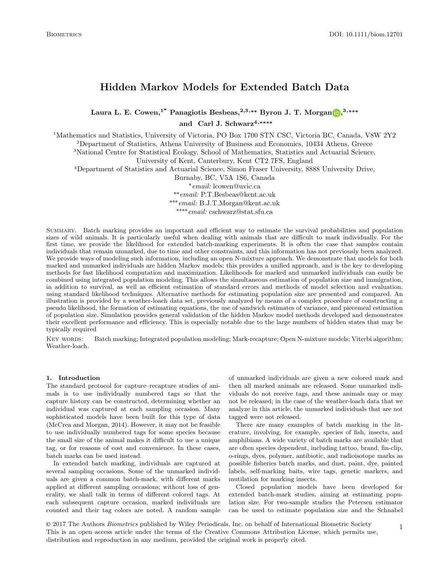## Hidden Markov Models for Extended Batch Data

Laura L. E. Cowen[,](http://orcid.org/0000-0002-5465-8006)<sup>1\*</sup> Panagiotis Besbeas,<sup>2,3,</sup>\*\* Byron J. T. Morgan<mark>ib</mark>,<sup>3,</sup>\*\*\*

and Carl J. Schwarz<sup>[4,\\*\\*\\*\\*](#page-0-0)</sup>

<sup>1</sup>Mathematics and Statistics, University of Victoria, PO Box 1700 STN CSC, Victoria BC, Canada, V8W 2Y2

<sup>2</sup>Department of Statistics, Athens University of Business and Economics, 10434 Athens, Greece

<sup>3</sup>National Centre for Statistical Ecology, School of Mathematics, Statistics and Actuarial Science,

University of Kent, Canterbury, Kent CT2 7FS, England

<sup>4</sup>Department of Statistics and Actuarial Science, Simon Fraser University, 8888 University Drive,

Burnaby, BC, V5A 1S6, Canada ∗ email: lcowen@uvic.ca ∗∗email: P.T.Besbeas@kent.ac.uk ∗∗∗email: B.J.T.Morgan@kent.ac.uk

∗∗∗∗email: cschwarz@stat.sfu.ca

Summary. Batch marking provides an important and efficient way to estimate the survival probabilities and population sizes of wild animals. It is particularly useful when dealing with animals that are difficult to mark individually. For the first time, we provide the likelihood for extended batch-marking experiments. It is often the case that samples contain individuals that remain unmarked, due to time and other constraints, and this information has not previously been analyzed. We provide ways of modeling such information, including an open N-mixture approach. We demonstrate that models for both marked and unmarked individuals are hidden Markov models; this provides a unified approach, and is the key to developing methods for fast likelihood computation and maximization. Likelihoods for marked and unmarked individuals can easily be combined using integrated population modeling. This allows the simultaneous estimation of population size and immigration, in addition to survival, as well as efficient estimation of standard errors and methods of model selection and evaluation, using standard likelihood techniques. Alternative methods for estimating population size are presented and compared. An illustration is provided by a weather-loach data set, previously analyzed by means of a complex procedure of constructing a pseudo likelihood, the formation of estimating equations, the use of sandwich estimates of variance, and piecemeal estimation of population size. Simulation provides general validation of the hidden Markov model methods developed and demonstrates their excellent performance and efficiency. This is especially notable due to the large numbers of hidden states that may be typically required

KEY WORDS: Batch marking; Integrated population modeling; Mark-recapture; Open N-mixture models; Viterbi algorithm; Weather-loach.

#### 1. Introduction

The standard protocol for capture–recapture studies of animals is to use individually numbered tags so that the capture history can be constructed, determining whether an individual was captured at each sampling occasion. Many sophisticated models have been built for this type of data [\(McCrea and Morgan, 2014\). H](#page-10-0)owever, it may not be feasible to use individually numbered tags for some species because the small size of the animal makes it difficult to use a unique tag, or for reasons of cost and convenience. In these cases, batch marks can be used instead.

In extended batch marking, individuals are captured at several sampling occasions. Some of the unmarked individuals are given a common batch-mark, with different marks applied at different sampling occasions; without loss of generality, we shall talk in terms of different colored tags. At each subsequent capture occasion, marked individuals are counted and their tag colors are noted. A random sample

of unmarked individuals are given a new colored mark and then all marked animals are released. Some unmarked individuals do not receive tags, and these animals may or may not be released; in the case of the weather-loach data that we analyze in this article, the unmarked individuals that are not tagged were not released.

There are many examples of batch marking in the literature, involving, for example, species of fish, insects, and amphibians. A wide variety of batch marks are available that are often species dependent, including tattoo, brand, fin-clip, o-rings, dyes, polymer, antibiotic, and radioisotope marks as possible fisheries batch marks, and dust, paint, dye, painted labels, self-marking baits, wire tags, genetic markers, and mutilation for marking insects.

Closed population models have been developed for extended batch-mark studies, aiming at estimating population size. For two-sample studies the Petersen estimator can be used to estimate population size and the Schnabel

© 2017 The Authors *Biometrics* published by Wiley Periodicals, Inc. on behalf of International Biometric Society This is an open access article under the terms of the [Creative Commons Attribution License](http://creativecommons.org/licenses/by/4.0/), which permits use, distribution and reproduction in any medium, provided the original work is properly cited.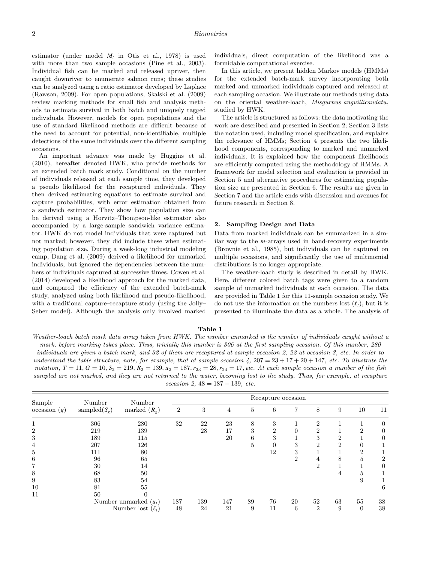estimator (under model  $M_t$  in [Otis et al., 1978](#page-10-0)) is used with more than two sample occasions ([Pine et al., 2003\)](#page-10-0). Individual fish can be marked and released upriver, then caught downriver to enumerate salmon runs; these studies can be analyzed using a ratio estimator developed by Laplace ([Rawson, 2009\).](#page-10-0) For open populations, [Skalski et al. \(2009\)](#page-10-0) review marking methods for small fish and analysis methods to estimate survival in both batch and uniquely tagged individuals. However, models for open populations and the use of standard likelihood methods are difficult because of the need to account for potential, non-identifiable, multiple detections of the same individuals over the different sampling occasions.

An important advance was made by [Huggins et al](#page-10-0). [\(2010\),](#page-10-0) hereafter denoted HWK, who provide methods for an extended batch mark study. Conditional on the number of individuals released at each sample time, they developed a pseudo likelihood for the recaptured individuals. They then derived estimating equations to estimate survival and capture probabilities, with error estimation obtained from a sandwich estimator. They show how population size can be derived using a Horvitz–Thompson-like estimator also accompanied by a large-sample sandwich variance estimator. HWK do not model individuals that were captured but not marked; however, they did include these when estimating population size. During a week-long industrial modeling camp, [Dang et al. \(2009\) d](#page-10-0)erived a likelihood for unmarked individuals, but ignored the dependencies between the numbers of individuals captured at successive times. [Cowen et al.](#page-10-0) [\(2014\) d](#page-10-0)eveloped a likelihood approach for the marked data, and compared the efficiency of the extended batch-mark study, analyzed using both likelihood and pseudo-likelihood, with a traditional capture–recapture study (using the Jolly– Seber model). Although the analysis only involved marked

individuals, direct computation of the likelihood was a formidable computational exercise.

In this article, we present hidden Markov models (HMMs) for the extended batch-mark survey incorporating both marked and unmarked individuals captured and released at each sampling occasion. We illustrate our methods using data on the oriental weather-loach, *Misgurnus anguillicaudatu*, studied by HWK.

The article is structured as follows: the data motivating the work are described and presented in Section 2; Section 3 lists the notation used, including model specification, and explains the relevance of HMMs; Section 4 presents the two likelihood components, corresponding to marked and unmarked individuals. It is explained how the component likelihoods are efficiently computed using the methodology of HMMs. A framework for model selection and evaluation is provided in Section 5 and alternative procedures for estimating population size are presented in Section 6. The results are given in Section 7 and the article ends with discussion and avenues for future research in Section 8.

#### 2. Sampling Design and Data

Data from marked individuals can be summarized in a similar way to the m-arrays used in band-recovery experiments ([Brownie et al., 1985\)](#page-10-0), but individuals can be captured on multiple occasions, and significantly the use of multinomial distributions is no longer appropriate.

The weather-loach study is described in detail by HWK. Here, different colored batch tags were given to a random sample of unmarked individuals at each occasion. The data are provided in Table 1 for this 11-sample occasion study. We do not use the information on the numbers lost  $(\ell_t)$ , but it is presented to illuminate the data as a whole. The analysis of

#### Table 1

*Weather-loach batch mark data array taken from HWK. The number unmarked is the number of individuals caught without a mark, before marking takes place. Thus, trivially this number is 306 at the first sampling occasion. Of this number, 280 individuals are given a batch mark, and 32 of them are recaptured at sample occasion 2, 22 at occasion 3, etc. In order to understand the table structure, note, for example, that at sample occasion*  $\lambda$ *,*  $207 = 23 + 17 + 20 + 147$ *, etc. To illustrate the notation,*  $T = 11$ ,  $G = 10$ ,  $S_2 = 219$ ,  $R_2 = 139$ ,  $u_2 = 187$ ,  $r_{23} = 28$ ,  $r_{24} = 17$ , etc. At each sample occasion a number of the fish *sampled are not marked, and they are not returned to the water, becoming lost to the study. Thus, for example, at recapture occasion 2,* 48 = 187 − 139*, etc.*

| Sample<br>$\operatorname{occasion}(g)$ | Number<br>sampled $(S_g)$ | Number<br>marked $(R_g)$    | Recapture occasion |     |     |    |                |                |                |                |    |          |  |
|----------------------------------------|---------------------------|-----------------------------|--------------------|-----|-----|----|----------------|----------------|----------------|----------------|----|----------|--|
|                                        |                           |                             | $\overline{2}$     | 3   | 4   | 5  | 6              | 7              | 8              | 9              | 10 | 11       |  |
|                                        | 306                       | 280                         | 32                 | 22  | 23  | 8  | 3              |                | $\overline{2}$ |                |    | $\theta$ |  |
| $\overline{2}$                         | 219                       | 139                         |                    | 28  | 17  | 3  | $\overline{2}$ |                | $\overline{2}$ |                | 2  | 0        |  |
| 3                                      | 189                       | 115                         |                    |     | 20  | 6  | 3              |                | 3              | $\overline{2}$ |    | 0        |  |
| 4                                      | 207                       | 126                         |                    |     |     | 5  |                | 3              | $\overline{2}$ | $\overline{2}$ |    |          |  |
| 5                                      | 111                       | 80                          |                    |     |     |    | 12             | 3              |                |                | 2  |          |  |
| 6                                      | 96                        | 65                          |                    |     |     |    |                | $\mathfrak{D}$ | 4              | 8              | 5  | 2        |  |
|                                        | 30                        | 14                          |                    |     |     |    |                |                | $\mathfrak{D}$ |                |    | 0        |  |
| 8                                      | 68                        | 50                          |                    |     |     |    |                |                |                | 4              | Ð  |          |  |
| 9                                      | 83                        | 54                          |                    |     |     |    |                |                |                |                | 9  |          |  |
| 10                                     | 81                        | 55                          |                    |     |     |    |                |                |                |                |    | 6        |  |
| 11                                     | 50                        | $\Omega$                    |                    |     |     |    |                |                |                |                |    |          |  |
|                                        | Number unmarked $(u_t)$   |                             | 187                | 139 | 147 | 89 | 76             | 20             | 52             | 63             | 55 | 38       |  |
|                                        |                           | Number lost (<br>$(\ell_t)$ | 48                 | 24  | 21  | 9  | 11             | 6              | $\overline{2}$ | 9              | 0  | 38       |  |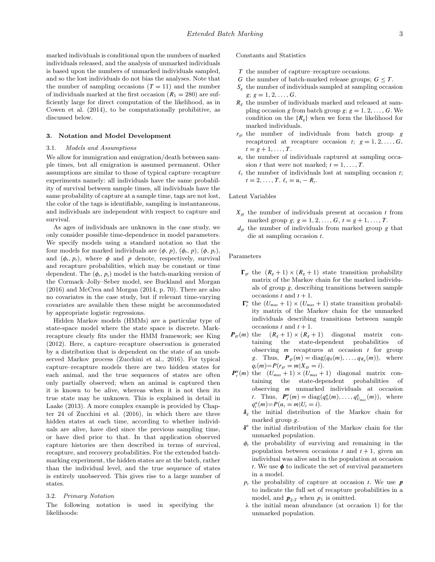marked individuals is conditional upon the numbers of marked individuals released, and the analysis of unmarked individuals is based upon the numbers of unmarked individuals sampled, and so the lost individuals do not bias the analyses. Note that the number of sampling occasions  $(T = 11)$  and the number of individuals marked at the first occasion  $(R_1 = 280)$  are sufficiently large for direct computation of the likelihood, as in [Cowen et al. \(2014\),](#page-10-0) to be computationally prohibitive, as discussed below.

#### 3. Notation and Model Development

#### 3.1. *Models and Assumptions*

We allow for immigration and emigration/death between sample times, but all emigration is assumed permanent. Other assumptions are similar to those of typical capture–recapture experiments namely: all individuals have the same probability of survival between sample times, all individuals have the same probability of capture at a sample time, tags are not lost, the color of the tags is identifiable, sampling is instantaneous, and individuals are independent with respect to capture and survival.

As ages of individuals are unknown in the case study, we only consider possible time-dependence in model parameters. We specify models using a standard notation so that the four models for marked individuals are  $(\phi, p)$ ,  $(\phi_t, p)$ ,  $(\phi, p_t)$ , and  $(\phi_t, p_t)$ , where  $\phi$  and p denote, respectively, survival and recapture probabilities, which may be constant or time dependent. The  $(\phi_t, p_t)$  model is the batch-marking version of the Cormack–Jolly–Seber model, see [Buckland and Morgan](#page-10-0) [\(2016\) a](#page-10-0)nd [McCrea and Morgan \(2014,](#page-10-0) p. 7[0\).](#page-10-0) There are also no covariates in the case study, but if relevant time-varying covariates are available then these might be accommodated by appropriate logistic regressions.

Hidden Markov models (HMMs) are a particular type of state-space model where the state space is discrete. Markrecapture clearly fits under the HMM framework; see [King](#page-10-0) [\(2012\).](#page-10-0) Here, a capture–recapture observation is generated by a distribution that is dependent on the state of an unobserved Markov process ([Zucchini et al., 2016](#page-10-0)). For typical capture–recapture models there are two hidden states for each animal, and the true sequences of states are often only partially observed; when an animal is captured then it is known to be alive, whereas when it is not then its true state may be unknown. This is explained in detail in [Laake \(2013\).](#page-10-0) A more complex example is provided by Chapter 24 of [Zucchini et al. \(2016\),](#page-10-0) in which there are three hidden states at each time, according to whether individuals are alive, have died since the previous sampling time, or have died prior to that. In that application observed capture histories are then described in terms of survival, recapture, and recovery probabilities. For the extended batchmarking experiment, the hidden states are at the batch, rather than the individual level, and the true sequence of states is entirely unobserved. This gives rise to a large number of states.

#### 3.2. *Primary Notation*

The following notation is used in specifying the likelihoods:

#### Constants and Statistics

- T the number of capture–recapture occasions.
- G the number of batch-marked release groups;  $G \leq T$ .
- $S_{\varphi}$  the number of individuals sampled at sampling occasion  $g; g = 1, 2, \ldots, G.$
- $R_{g}$  the number of individuals marked and released at sampling occasion g from batch group  $g: g = 1, 2, \ldots, G$ . We condition on the  ${R<sub>g</sub>}$  when we form the likelihood for marked individuals.
- $r_{gt}$  the number of individuals from batch group g recaptured at recapture occasion  $t; g = 1, 2, ..., G$ ,  $t = g + 1, \ldots, T$ .
- $u_t$  the number of individuals captured at sampling occasion t that were not marked;  $t = 1, \ldots, T$ .
- $\ell_t$  the number of individuals lost at sampling occasion t;  $t = 2, \ldots, T$ .  $\ell_t = u_t - R_t$ .

#### Latent Variables

- $X_{gt}$  the number of individuals present at occasion t from marked group  $g; g = 1, 2, ..., G, t = g + 1, ..., T$ .
- $d_{gt}$  the number of individuals from marked group g that die at sampling occasion t.

#### Parameters

- $\Gamma_{gt}$  the  $(R_g + 1) \times (R_g + 1)$  state transition probability matrix of the Markov chain for the marked individuals of group g, describing transitions between sample occasions t and  $t + 1$ .
- $\Gamma_t^u$  the  $(U_{max} + 1) \times (U_{max} + 1)$  state transition probability matrix of the Markov chain for the unmarked individuals describing transitions between sample occasions t and  $t + 1$ .
- $P_{gt}(m)$  the  $(R_g + 1) \times (R_g + 1)$  diagonal matrix containing the state-dependent probabilities of observing  $m$  recaptures at occasion  $t$  for group g. Thus,  $\mathbf{P}_{gt}(m) = \text{diag}(q_0(m), \dots, q_{R_g}(m)),$  where  $q_i(m)=P(r_{gt}=m|X_{gt}=i).$
- $P_t^u(m)$  the  $(U_{max} + 1) \times (U_{max} + 1)$  diagonal matrix containing the state-dependent probabilities of observing m unmarked individuals at occasion t. Thus,  $P_t^u(m) = \text{diag}(q_0^u(m), \dots, q_{U_{max}}^u(m)),$  where  $q_i^u(m) = P(u_t = m | U_t = i).$ 
	- $\delta_{g}$  the initial distribution of the Markov chain for marked group g.
	- $\delta^u$  the initial distribution of the Markov chain for the unmarked population.
	- $\phi_t$  the probability of surviving and remaining in the population between occasions t and  $t + 1$ , given an individual was alive and in the population at occasion t. We use  $\phi$  to indicate the set of survival parameters in a model.
	- $p_t$  the probability of capture at occasion t. We use  $p$ to indicate the full set of recapture probabilities in a model, and  $p_{2:T}$  when  $p_1$  is omitted.
	- $\lambda$  the initial mean abundance (at occasion 1) for the unmarked population.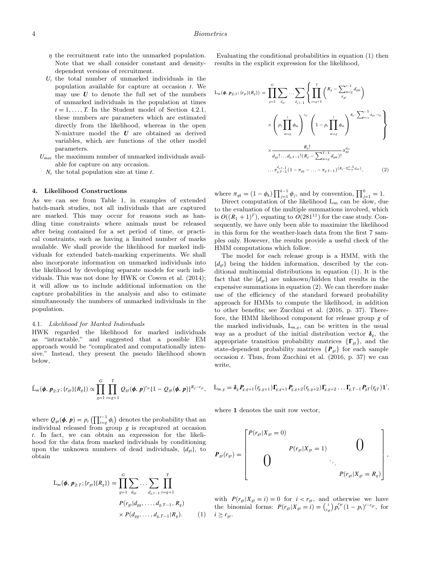- $\eta$  the recruitment rate into the unmarked population. Note that we shall consider constant and densitydependent versions of recruitment.
- $U_t$  the total number of unmarked individuals in the population available for capture at occasion  $t$ . We may use  $U$  to denote the full set of the numbers of unmarked individuals in the population at times  $t = 1, \ldots, T$ . In the Student model of Section 4.2.1, these numbers are parameters which are estimated directly from the likelihood, whereas in the open N-mixture model the  $U$  are obtained as derived variables, which are functions of the other model parameters.
- $U_{max}$  the maximum number of unmarked individuals available for capture on any occasion.
	- $N_t$  the total population size at time t.

#### 4. Likelihood Constructions

As we can see from Table 1, in examples of extended batch-mark studies, not all individuals that are captured are marked. This may occur for reasons such as handling time constraints where animals must be released after being contained for a set period of time, or practical constraints, such as having a limited number of marks available. We shall provide the likelihood for marked individuals for extended batch-marking experiments. We shall also incorporate information on unmarked individuals into the likelihood by developing separate models for such individuals. This was not done by HWK or [Cowen et al. \(2014\);](#page-10-0) it will allow us to include additional information on the capture probabilities in the analysis and also to estimate simultaneously the numbers of unmarked individuals in the population.

#### 4.1. *Likelihood for Marked Individuals*

HWK regarded the likelihood for marked individuals as "intractable," and suggested that a possible EM approach would be "complicated and computationally intensive." Instead, they present the pseudo likelihood shown below,

$$
\tilde{L}_m(\pmb{\phi},\pmb{p}_{2:T};\{r_{gt}\}\{R_g\}) \propto \prod_{g=1}^G \prod_{t=g+1}^T Q_{gt}(\pmb{\phi},\pmb{p})^{r_{gt}} \{1-Q_{gt}(\pmb{\phi},\pmb{p})\}^{R_g-r_{gt}},
$$

where  $Q_{gt}(\phi, p) = p_t \left( \prod_{i=g}^{t-1} \phi_i \right)$  denotes the probability that an individual released from group g is recaptured at occasion t. In fact, we can obtain an expression for the likelihood for the data from marked individuals by conditioning upon the unknown numbers of dead individuals,  $\{d_{gt}\}$ , to obtain

$$
L_m(\phi, p_{2:T}; \{r_{gt}\}\{R_g\}) = \prod_{g=1}^G \sum_{d_{gg}} \cdots \sum_{d_{g,T-1}} \prod_{t=g+1}^T
$$
  

$$
P(r_{gt}|d_{gg}, \ldots, d_{g,T-1}, R_g)
$$
  

$$
\times P(d_{gg}, \ldots, d_{g,T-1}|R_g).
$$
 (1)

Evaluating the conditional probabilities in equation (1) then results in the explicit expression for the likelihood,

$$
L_m(\phi, p_{2:T}; \{r_{gt}\}\{R_g\}) = \prod_{s=1}^G \sum_{d_{ss}} \cdots \sum_{d_{s,T-1}} \left\{ \prod_{t=s+1}^T \binom{R_s - \sum_{m=s}^{t-1} d_{sm}}{r_{gt}} \right\}
$$

$$
\times \left( p_i \prod_{m=s}^t \phi_m \right)^{r_{gt}} \left( 1 - p_i \prod_{m=s}^t \phi_m \right)^{R_s - \sum_{m=s}^{t-1} d_{sm} - r_{gt}} \left\}
$$

$$
\times \frac{R_s!}{d_{gs}! \cdots d_{s,T-1}! (R_s - \sum_{m=s}^{T-1} d_{sm})!} \pi_{gs}^{d_{ss}}
$$

$$
\cdots \pi_{s,T-1}^{d_{s,T-1}} (1 - \pi_{ss} - \cdots - \pi_{s,T-1})^{(R_s - \sum_{m=s}^{T-1} d_{sm})}, \qquad (2)
$$

where  $\pi_{gk} = (1 - \phi_k) \prod_{j=1}^{k-1} \phi_j$ , and by convention,  $\prod_{j=1}^0 = 1$ .

Direct computation of the likelihood L<sup>m</sup> can be slow, due to the evaluation of the multiple summations involved, which is  $O((R_1 + 1)^T)$ , equating to  $O(281^{11})$  for the case study. Consequently, we have only been able to maximize the likelihood in this form for the weather-loach data from the first 7 samples only. However, the results provide a useful check of the HMM computations which follow.

The model for each release group is a HMM, with the  ${d}_{et}$  being the hidden information, described by the conditional multinomial distributions in equation (1). It is the fact that the  ${d_{at}}$  are unknown/hidden that results in the expensive summations in equation (2). We can therefore make use of the efficiency of the standard forward probability approach for HMMs to compute the likelihood, in addition to other benefits; see [Zucchini et al. \(2016,](#page-10-0) p. 37[\).](#page-10-0) Therefore, the HMM likelihood component for release group g of the marked individuals,  $L_{m,g}$ , can be written in the usual way as a product of the initial distribution vector  $\delta_g$ , the appropriate transition probability matrices  $\{\mathbf{\Gamma}_{gt}\}\$ , and the state-dependent probability matrices  $\{P_{gt}\}\$ for each sample occasion  $t$ . Thus, from Zucchini et al.  $(2016, p. 37)$  we can write,

$$
L_{m,g} = \delta_g P_{g,g+1}(r_{g,g+1}) \Gamma_{g,g+1} P_{g,g+2}(r_{g,g+2}) \Gamma_{g,g+2} \ldots \Gamma_{g,T-1} P_{g,T}(r_{g,T}) \mathbf{1}',
$$

where 1 denotes the unit row vector,

$$
\boldsymbol{P}_{gt}(r_{gt}) = \begin{bmatrix} P(r_{gt}|X_{gt}=0) & & & \\ & P(r_{gt}|X_{gt}=1) & & \\ & & \ddots & \\ & & & P(r_{gt}|X_{gt}=R_g) \end{bmatrix},
$$

with  $P(r_{gt}|X_{gt} = i) = 0$  for  $i < r_{gt}$ , and otherwise we have the binomial forms:  $P(r_{gt}|X_{gt} = i) = {i \choose r_{gt}} p_t^{r_{gt}} (1 - p_t)^{i - r_{gt}}$ , for  $i \geq r_{gt}$ .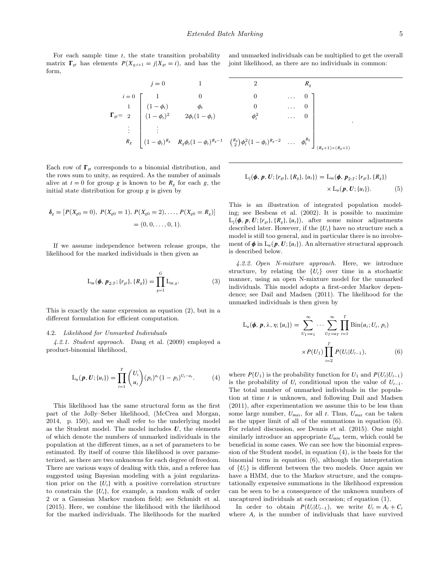For each sample time  $t$ , the state transition probability matrix  $\Gamma_{gt}$  has elements  $P(X_{g,t+1} = j | X_{gt} = i)$ , and has the form,

$$
j = 0 \t 1 \t 2 \t R_g
$$
  
\n
$$
i = 0 \t 1 \t 0 \t 0 \t ... \t 0
$$
  
\n
$$
\mathbf{T}_{gt} = 2 \t (1 - \phi_t)^2 \t 2\phi_t(1 - \phi_t) \t \phi_t^2 \t ... \t 0
$$
  
\n
$$
\vdots \t \vdots
$$
  
\n
$$
R_g \t (1 - \phi_t)^{R_g} \t R_g \phi_t(1 - \phi_t)^{R_g - 1} \t {R_g \choose 2} \phi_t^2(1 - \phi_t)^{R_g - 2} \t ... \t \phi_t^{R_g}
$$

Each row of  $\Gamma_{gt}$  corresponds to a binomial distribution, and the rows sum to unity, as required. As the number of animals alive at  $t = 0$  for group g is known to be  $R_g$  for each g, the initial state distribution for group  $g$  is given by

$$
\delta_g = [P(X_{g0} = 0), P(X_{g0} = 1), P(X_{g0} = 2), \dots, P(X_{g0} = R_g)]
$$
  
= (0, 0, \dots, 0, 1).

If we assume independence between release groups, the likelihood for the marked individuals is then given as

$$
L_m(\phi, p_{2:T}; \{r_{gt}\}, \{R_g\}) = \prod_{g=1}^G L_{m,g}.
$$
 (3)

This is exactly the same expression as equation (2), but in a different formulation for efficient computation.

#### 4.2. *Likelihood for Unmarked Individuals*

*4.2.1. Student approach.* [Dang et al. \(2009\) e](#page-10-0)mployed a product-binomial likelihood,

$$
L_u(\mathbf{p}, \mathbf{U}; \{u_t\}) = \prod_{t=1}^T \binom{U_t}{u_t} (p_t)^{u_t} (1 - p_t)^{U_t - u_t}.
$$
 (4)

This likelihood has the same structural form as the first part of the Jolly–Seber likelihood, [\(McCrea and Morgan,](#page-10-0) [2014,](#page-10-0) p. 15[0\),](#page-10-0) and we shall refer to the underlying model as the Student model. The model includes  $U$ , the elements of which denote the numbers of unmarked individuals in the population at the different times, as a set of parameters to be estimated. By itself of course this likelihood is over parameterized, as there are two unknowns for each degree of freedom. There are various ways of dealing with this, and a referee has suggested using Bayesian modeling with a joint regularization prior on the  $\{U_t\}$  with a positive correlation structure to constrain the  $\{U_t\}$ , for example, a random walk of order 2 or a Gaussian Markov random field; see [Schmidt et al.](#page-10-0) [\(2015\).](#page-10-0) Here, we combine the likelihood with the likelihood for the marked individuals. The likelihoods for the marked and unmarked individuals can be multiplied to get the overall joint likelihood, as there are no individuals in common:

... φ<sup>R</sup><sup>g</sup> ⎤ ⎥ ⎥ ⎥ ⎥ ⎥ ⎥ ⎥ ⎦ (Rg+1)×(Rg+1) .

$$
L_j(\phi, p, U; \{r_{gt}\}, \{R_g\}, \{u_t\}) = L_m(\phi, p_{2:T}; \{r_{gt}\}, \{R_g\})
$$
  
 
$$
\times L_u(p, U; \{u_t\}). \tag{5}
$$

This is an illustration of integrated population modeling; see [Besbeas et al. \(2002\).](#page-10-0) It is possible to maximize  $L_i(\phi, p, U; \{r_{gt}\}, \{R_g\}, \{u_t\})$ , after some minor adjustments described later. However, if the  $\{U_t\}$  have no structure such a model is still too general, and in particular there is no involvement of  $\phi$  in  $L_u(p, U; \{u_t\})$ . An alternative structural approach is described below.

*4.2.2. Open N-mixture approach.* Here, we introduce structure, by relating the  $\{U_t\}$  over time in a stochastic manner, using an open N-mixture model for the unmarked individuals. This model adopts a first-order Markov dependence; see [Dail and Madsen \(2011\).](#page-10-0) The likelihood for the unmarked individuals is then given by

$$
L_u(\phi, p, \lambda, \eta; \{u_t\}) = \sum_{U_1=u_1}^{\infty} \cdots \sum_{U_T=u_T}^{\infty} \prod_{t=1}^T Bin(u_t; U_t, p_t)
$$

$$
\times P(U_1) \prod_{t=2}^T P(U_t | U_{t-1}), \tag{6}
$$

where  $P(U_1)$  is the probability function for  $U_1$  and  $P(U_t|U_{t-1})$ is the probability of  $U_t$  conditional upon the value of  $U_{t-1}$ . The total number of unmarked individuals in the population at time  $t$  is unknown, and following [Dail and Madsen](#page-10-0) [\(2011\),](#page-10-0) after experimentation we assume this to be less than some large number,  $U_{max}$ , for all t. Thus,  $U_{max}$  can be taken as the upper limit of all of the summations in equation (6). For related discussion, see [Dennis et al. \(2015\).](#page-10-0) One might similarly introduce an appropriate  $U_{min}$  term, which could be beneficial in some cases. We can see how the binomial expression of the Student model, in equation (4), is the basis for the binomial term in equation (6), although the interpretation of  $\{U_t\}$  is different between the two models. Once again we have a HMM, due to the Markov structure, and the computationally expensive summations in the likelihood expression can be seen to be a consequence of the unknown numbers of uncaptured individuals at each occasion; cf equation (1).

In order to obtain  $P(U_t|U_{t-1})$ , we write  $U_t = A_t + C_t$ where  $A_t$  is the number of individuals that have survived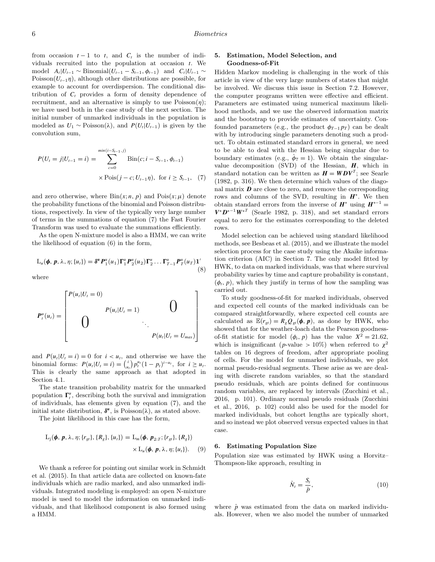from occasion  $t-1$  to  $t$ , and  $C_t$  is the number of individuals recruited into the population at occasion t. We model  $A_t|U_{t-1} \sim \text{Binomial}(U_{t-1} - S_{t-1}, \phi_{t-1})$  and  $C_t|U_{t-1} \sim$ Poisson( $U_{t-1}$ η), although other distributions are possible, for example to account for overdispersion. The conditional distribution of  $C_t$  provides a form of density dependence of recruitment, and an alternative is simply to use  $Poisson(\eta)$ ; we have used both in the case study of the next section. The initial number of unmarked individuals in the population is modeled as  $U_1 \sim \text{Poisson}(\lambda)$ , and  $P(U_t | U_{t-1})$  is given by the convolution sum,

$$
P(U_t = j | U_{t-1} = i) = \sum_{c=0}^{\min(i - S_{t-1}, j)} \text{Bin}(c; i - S_{t-1}, \phi_{t-1})
$$

$$
\times \text{Pois}(j - c; U_{t-1}\eta), \text{ for } i \ge S_{t-1}, (7)
$$

and zero otherwise, where  $\text{Bin}(x; n, p)$  and  $\text{Pois}(x; \mu)$  denote the probability functions of the binomial and Poisson distributions, respectively. In view of the typically very large number of terms in the summations of equation (7) the Fast Fourier Transform was used to evaluate the summations efficiently.

As the open N-mixture model is also a HMM, we can write the likelihood of equation (6) in the form,

$$
\mathcal{L}_u(\boldsymbol{\phi}, \boldsymbol{p}, \lambda, \eta; \{u_t\}) = \delta^{\boldsymbol{u}} \boldsymbol{P}_1^{\boldsymbol{u}}(u_1) \boldsymbol{\Gamma}_1^{\boldsymbol{u}} \boldsymbol{P}_2^{\boldsymbol{u}}(u_2) \boldsymbol{\Gamma}_2^{\boldsymbol{u}} \dots \boldsymbol{\Gamma}_{T-1}^{\boldsymbol{u}} \boldsymbol{P}_T^{\boldsymbol{u}}(u_T) \mathbf{1}'
$$
\n(8)

where

$$
P_{t}^{u}(u_{t}) = \begin{bmatrix} P(u_{t}|U_{t}=0) & & & \ & P(u_{t}|U_{t}=1) & & \ & & \ddots & \ & & & P(u_{t}|U_{t}=U_{max}) \end{bmatrix}
$$

and  $P(u_t|U_t = i) = 0$  for  $i < u_t$ , and otherwise we have the binomial forms:  $P(u_t|U_t = i) = {i \choose u_t} p_t^{u_t} (1 - p_t)^{i - u_t}$ , for  $i \ge u_t$ . This is clearly the same approach as that adopted in Section 4.1.

The state transition probability matrix for the unmarked population  $\Gamma_t^u$ , describing both the survival and immigration of individuals, has elements given by equation (7), and the initial state distribution,  $\delta^u$ , is Poisson( $\lambda$ ), as stated above.

The joint likelihood in this case has the form,

$$
L_j(\boldsymbol{\phi}, \boldsymbol{p}, \lambda, \eta; \{r_{gt}\}, \{R_g\}, \{u_t\}) = L_m(\boldsymbol{\phi}, \boldsymbol{p}_{2:T}; \{r_{gt}\}, \{R_g\})
$$
  
 
$$
\times L_u(\boldsymbol{\phi}, \boldsymbol{p}, \lambda, \eta; \{u_t\}). \tag{9}
$$

We thank a referee for pointing out similar work in [Schmidt](#page-10-0) et al. [\(2015\).](#page-10-0) In that article data are collected on known-fate individuals which are radio marked, and also unmarked individuals. Integrated modeling is employed: an open N-mixture model is used to model the information on unmarked individuals, and that likelihood component is also formed using a HMM.

#### 5. Estimation, Model Selection, and Goodness-of-Fit

Hidden Markov modeling is challenging in the work of this article in view of the very large numbers of states that might be involved. We discuss this issue in Section 7.2. However, the computer programs written were effective and efficient. Parameters are estimated using numerical maximum likelihood methods, and we use the observed information matrix and the bootstrap to provide estimates of uncertainty. Confounded parameters (e.g., the product  $\phi_{T-1}p_T$ ) can be dealt with by introducing single parameters denoting such a product. To obtain estimated standard errors in general, we need to be able to deal with the Hessian being singular due to boundary estimates (e.g.,  $\hat{\phi}_7 = 1$ ). We obtain the singularvalue decomposition (SVD) of the Hessian,  $H$ , which in standard notation can be written as  $H = WDV^T$ ; see [Searle](#page-10-0) [\(1982,](#page-10-0) p. 316[\).](#page-10-0) We then determine which values of the diagonal matrix  $\boldsymbol{D}$  are close to zero, and remove the corresponding rows and columns of the SVD, resulting in  $H^*$ . We then obtain standard errors from the inverse of  $H^*$  using  $H^{*-1}$  =  $V^*D^{*-1}W^{*T}$  ([Searle 1982,](#page-10-0) p. 318), and set standard errors equal to zero for the estimates corresponding to the deleted rows.

Model selection can be achieved using standard likelihood methods, see [Besbeas et al. \(2015\), a](#page-10-0)nd we illustrate the model selection process for the case study using the Akaike information criterion (AIC) in Section 7. The only model fitted by HWK, to data on marked individuals, was that where survival probability varies by time and capture probability is constant,  $(\phi_t, p)$ , which they justify in terms of how the sampling was carried out.

To study goodness-of-fit for marked individuals, observed and expected cell counts of the marked individuals can be compared straightforwardly, where expected cell counts are calculated as  $\mathbb{E}(r_{gt}) = R_g Q_{gt}(\phi, p)$ , as done by HWK, who showed that for the weather-loach data the Pearson goodnessof-fit statistic for model  $(\phi_t, p)$  has the value  $X^2 = 21.62$ , which is insignificant (*p*-value > 10%) when referred to  $\chi^2$ tables on 16 degrees of freedom, after appropriate pooling of cells. For the model for unmarked individuals, we plot normal pseudo-residual segments. These arise as we are dealing with discrete random variables, so that the standard pseudo residuals, which are points defined for continuous random variables, are replaced by intervals [\(Zucchini et al.,](#page-10-0) [2016,](#page-10-0) p. 10[1\).](#page-10-0) Ordinary normal pseudo residuals [\(Zucchini](#page-10-0) et al.[, 2016,](#page-10-0) p. 102[\) c](#page-10-0)ould also be used for the model for marked individuals, but cohort lengths are typically short, and so instead we plot observed versus expected values in that case.

#### 6. Estimating Population Size

Population size was estimated by HWK using a Horvitz– Thompson-like approach, resulting in

$$
\hat{N}_t = \frac{S_t}{\hat{p}},\tag{10}
$$

where  $\hat{p}$  was estimated from the data on marked individuals. However, when we also model the number of unmarked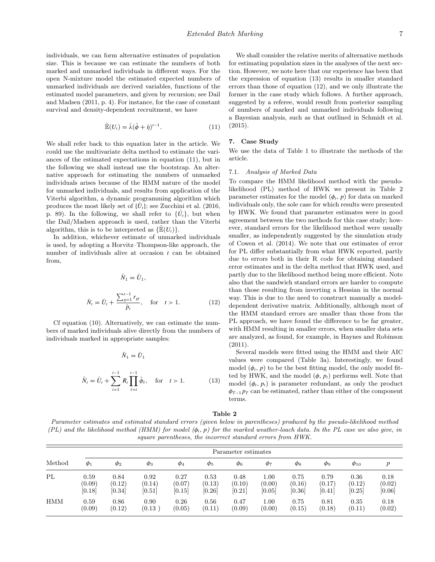individuals, we can form alternative estimates of population size. This is because we can estimate the numbers of both marked and unmarked individuals in different ways. For the open N-mixture model the estimated expected numbers of unmarked individuals are derived variables, functions of the estimated model parameters, and given by recursion; see Dail and Madsen [\(2011, p](#page-10-0). [4\). F](#page-10-0)or instance, for the case of constant survival and density-dependent recruitment, we have

$$
\hat{\mathbb{E}}(U_t) = \hat{\lambda}(\hat{\phi} + \hat{\eta})^{t-1}.
$$
\n(11)

We shall refer back to this equation later in the article. We could use the multivariate delta method to estimate the variances of the estimated expectations in equation (11), but in the following we shall instead use the bootstrap. An alternative approach for estimating the numbers of unmarked individuals arises because of the HMM nature of the model for unmarked individuals, and results from application of the Viterbi algorithm, a dynamic programming algorithm which produces the most likely set of  $\{\hat{U}_t\}$ ; see [Zucchini et al. \(2016,](#page-10-0) p. 89[\).](#page-10-0) In the following, we shall refer to  $\{\hat{U}_t\}$ , but when the Dail/Madsen approach is used, rather than the Viterbi algorithm, this is to be interpreted as  $\{\mathbb{E}(U_t)\}.$ 

In addition, whichever estimate of unmarked individuals is used, by adopting a Horvitz–Thompson-like approach, the number of individuals alive at occasion  $t$  can be obtained from,

$$
\hat{N}_1 = \hat{U}_1,
$$
\n
$$
\hat{N}_t = \hat{U}_t + \frac{\sum_{g=1}^{t-1} r_{gt}}{\hat{p}_t}, \quad \text{for} \quad t > 1. \tag{12}
$$

Cf equation (10). Alternatively, we can estimate the numbers of marked individuals alive directly from the numbers of individuals marked in appropriate samples:

$$
\tilde{N}_1 = \hat{U}_1
$$
\n
$$
\tilde{N}_t = \hat{U}_t + \sum_{i=1}^{t-1} R_i \prod_{\ell=i}^{t-1} \hat{\phi}_\ell, \quad \text{for} \quad t > 1.
$$
\n(13)

We shall consider the relative merits of alternative methods for estimating population sizes in the analyses of the next section. However, we note here that our experience has been that the expression of equation (13) results in smaller standard errors than those of equation (12), and we only illustrate the [former in t](#page-10-0)he case study which follows. A further approach, suggested by a referee, would result from posterior sampling of numbers of marked and unmarked individuals following a Bayesian analysis, such as that outlined in [Schmidt et al.](#page-10-0) [\(2015\).](#page-10-0)

#### 7. Case Study

We use the data of Table 1 to illustrate the methods of the article.

#### 7.1. *Analysis of Marked Data*

To compare the HMM likelihood method with the pseudolikelihood (PL) method of HWK we present in Table 2 parameter estimates for the model  $(\phi_t, p)$  for data on marked individuals only, the sole case for which results were presented by HWK. We found that parameter estimates were in good agreement between the two methods for this case study; however, standard errors for the likelihood method were usually smaller, as independently suggested by the simulation study of [Cowen et al. \(2014\).](#page-10-0) We note that our estimates of error for PL differ substantially from what HWK reported, partly due to errors both in their R code for obtaining standard error estimates and in the delta method that HWK used, and partly due to the likelihood method being more efficient. Note also that the sandwich standard errors are harder to compute than those resulting from inverting a Hessian in the normal way. This is due to the need to construct manually a modeldependent derivative matrix. Additionally, although most of the HMM standard errors are smaller than those from the PL approach, we have found the difference to be far greater, with HMM resulting in smaller errors, when smaller data sets are analyzed, as found, for example, in [Haynes and Robinson](#page-10-0)  $(2011).$ 

Several models were fitted using the HMM and their AIC values were compared (Table 3a). Interestingly, we found model  $(\phi_t, p)$  to be the best fitting model, the only model fitted by HWK, and the model  $(\phi, p_t)$  performs well. Note that model  $(\phi_t, p_t)$  is parameter redundant, as only the product  $\phi_{T-1}p_T$  can be estimated, rather than either of the component terms.

#### Table 2

*Parameter estimates and estimated standard errors (given below in parentheses) produced by the pseudo-likelihood method*  $(PL)$  and the likelihood method (HMM) for model  $(\phi_t, p)$  for the marked weather-loach data. In the PL case we also give, in *square parentheses, the incorrect standard errors from HWK.*

|            |          | Parameter estimates |          |          |          |          |          |          |             |                |        |  |  |  |
|------------|----------|---------------------|----------|----------|----------|----------|----------|----------|-------------|----------------|--------|--|--|--|
| Method     | $\phi_1$ | $\phi_2$            | $\phi_3$ | $\phi_4$ | $\phi_5$ | $\phi_6$ | $\phi_7$ | $\phi_8$ | $\varphi_9$ | $\varphi_{10}$ | p      |  |  |  |
| PL         | 0.59     | 0.84                | 0.92     | 0.27     | 0.53     | 0.48     | 1.00     | 0.75     | 0.79        | 0.36           | 0.18   |  |  |  |
|            | (0.09)   | (0.12)              | (0.14)   | (0.07)   | (0.13)   | (0.10)   | (0.00)   | (0.16)   | (0.17)      | (0.12)         | (0.02) |  |  |  |
|            | [0.18]   | [0.34]              | [0.51]   | [0.15]   | [0.26]   | [0.21]   | [0.05]   | [0.36]   | [0.41]      | [0.25]         | [0.06] |  |  |  |
| <b>HMM</b> | 0.59     | 0.86                | 0.90     | 0.26     | 0.56     | 0.47     | 1.00     | 0.75     | 0.81        | 0.35           | 0.18   |  |  |  |
|            | (0.09)   | (0.12)              | (0.13)   | (0.05)   | (0.11)   | (0.09)   | (0.00)   | (0.15)   | (0.18)      | (0.11)         | (0.02) |  |  |  |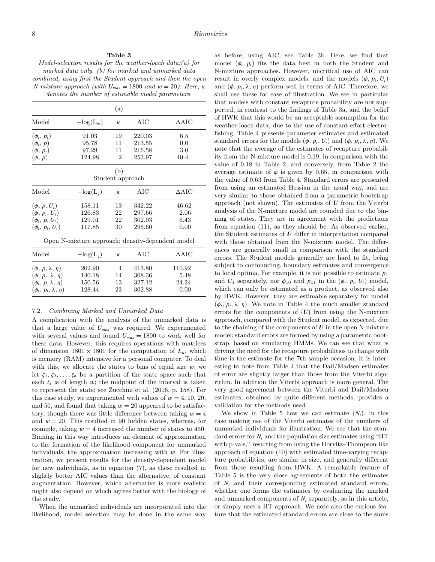Table 3 *Model-selection results for the weather-loach data:(a) for marked data only. (b) for marked and unmarked data combined, using first the Student approach and then the open N*-mixture approach (with  $U_{max} = 1800$  and  $w = 20$ ). Here,  $\kappa$ *denotes the number of estimable model parameters.*

|                                |                                                  | (a)              |        |                    |
|--------------------------------|--------------------------------------------------|------------------|--------|--------------------|
| Model                          | $-\log(L_m)$                                     | $\kappa$         | AIC    | $\Delta {\rm AIC}$ |
| $(\phi_t, p_t)$                | 91.03                                            | 19               | 220.03 | 6.5                |
| $(\phi_t, p)$                  | 95.78                                            | 11               | 213.55 | 0.0                |
| $(\phi, p_t)$                  | 97.29                                            | 11               | 216.58 | 3.0                |
| $(\phi, p)$                    | 124.98                                           | 2                | 253.97 | 40.4               |
|                                |                                                  | (b)              |        |                    |
|                                |                                                  | Student approach |        |                    |
| Model                          | $-\log(L_i)$                                     | $\kappa$         | AIC    | $\Delta {\rm AIC}$ |
| $(\phi, p, U_t)$               | 158.11                                           | 13               | 342.22 | 46.62              |
| $(\phi, p_t, U_t)$             | 126.83                                           | 22               | 297.66 | 2.06               |
| $(\phi_t, p, U_t)$             | 129.01                                           | 22               | 302.03 | 6.43               |
| $(\phi_t, p_t, U_t)$           | 117.85                                           | 30               | 295.60 | 0.00               |
|                                | Open N-mixture approach; density-dependent model |                  |        |                    |
| Model                          | $-\log(L_i)$                                     | $\kappa$         | AIC    | $\Delta {\rm AIC}$ |
| $(\phi, p, \lambda, \eta)$     | 202.90                                           | 4                | 413.80 | 110.92             |
| $(\phi, p_t, \lambda, \eta)$   | 140.18                                           | 14               | 308.36 | 5.48               |
| $(\phi_t, p, \lambda, \eta)$   | 150.56                                           | 13               | 327.12 | 24.24              |
| $(\phi_t, p_t, \lambda, \eta)$ | 128.44                                           | 23               | 302.88 | 0.00               |

#### 7.2. *Combining Marked and Unmarked Data*

A complication with the analysis of the unmarked data is that a large value of  $U_{max}$  was required. We experimented with several values and found  $U_{max} = 1800$  to work well for these data. However, this requires operations with matrices of dimension  $1801 \times 1801$  for the computation of  $L_u$ , which is memory (RAM) intensive for a personal computer. To deal with this, we allocate the states to bins of equal size  $w$ : we let  $\zeta_1, \zeta_2, \ldots, \zeta_n$  be a partition of the state space such that each  $\zeta_i$  is of length w; the midpoint of the interval is taken to represent the state; see [Zucchini et al. \(2016,](#page-10-0) p. 15[8\).](#page-10-0) For this case study, we experimented with values of  $w = 4, 10, 20$ , and 50, and found that taking  $w = 20$  appeared to be satisfactory, though there was little difference between taking  $w = 4$ and  $w = 20$ . This resulted in 90 hidden states, whereas, for example, taking  $w = 4$  increased the number of states to 450. Binning in this way introduces an element of approximation to the formation of the likelihood component for unmarked individuals, the approximation increasing with  $w$ . For illustration, we present results for the density-dependent model for new individuals, as in equation (7), as these resulted in slightly better AIC values than the alternative, of constant augmentation. However, which alternative is more realistic might also depend on which agrees better with the biology of the study.

When the unmarked individuals are incorporated into the likelihood, model selection may be done in the same way

as before, using AIC; see Table 3b. Here, we find that model  $(\phi_t, p_t)$  fits the data best in both the Student and N-mixture approaches. However, uncritical use of AIC can result in overly complex models, and the models  $(\phi, p_t, U_t)$ and  $(\phi, p_t, \lambda, \eta)$  perform well in terms of AIC. Therefore, we shall use these for ease of illustration. We see in particular that models with constant recapture probability are not supported, in contrast to the findings of Table 3a, and the belief of HWK that this would be an acceptable assumption for the weather-loach data, due to the use of constant-effort electrofishing. Table 4 presents parameter estimates and estimated standard errors for the models  $(\phi, p_t, U_t)$  and  $(\phi, p_t, \lambda, \eta)$ . We note that the average of the estimates of recapture probability from the N-mixture model is 0.19, in comparison with the value of 0.18 in Table 2, and conversely, from Table 2 the average estimate of  $\phi$  is given by 0.65, in comparison with the value of 0.63 from Table 4. Standard errors are presented from using an estimated Hessian in the usual way, and are very similar to those obtained from a parametric bootstrap approach (not shown). The estimates of  $U$  from the Viterbi analysis of the N-mixture model are rounded due to the binning of states. They are in agreement with the predictions from equation (11), as they should be. As observed earlier, the Student estimates of  $U$  differ in interpretation compared with those obtained from the N-mixture model. The differences are generally small in comparison with the standard errors. The Student models generally are hard to fit, being subject to confounding, boundary estimates and convergence to local optima. For example, it is not possible to estimate  $p_1$ and  $U_1$  separately, nor  $\phi_{10}$  and  $p_{11}$  in the  $(\phi_t, p_t, U_t)$  model, which can only be estimated as a product, as observed also by HWK. However, they are estimable separately for model  $(\phi_t, p_t, \lambda, \eta)$ . We note in Table 4 the much smaller standard errors for the components of  ${U}$  from using the N-mixture approach, compared with the Student model, as expected, due to the chaining of the components of  $U$  in the open N-mixture model; standard errors are formed by using a parametric bootstrap, based on simulating HMMs. We can see that what is driving the need for the recapture probabilities to change with time is the estimate for the 7th sample occasion. It is interesting to note from Table 4 that the Dail/Madsen estimates of error are slightly larger than those from the Viterbi algorithm. In addition the Viterbi approach is more general. The very good agreement between the Viterbi and Dail/Madsen estimates, obtained by quite different methods, provides a validation for the methods used.

We show in Table 5 how we can estimate  $\{N_t\}$ , in this case making use of the Viterbi estimates of the numbers of unmarked individuals for illustration. We see that the standard errors for  $N_t$  and the population size estimates using "HT with p-vals," resulting from using the Horvitz–Thompson-like approach of equation (10) with estimated time-varying recapture probabilities, are similar in size, and generally different from those resulting from HWK. A remarkable feature of Table 5 is the very close agreements of both the estimates of  $N_t$  and their corresponding estimated standard errors, whether one forms the estimates by evaluating the marked and unmarked components of  $N_t$  separately, as in this article, or simply uses a HT approach. We note also the curious feature that the estimated standard errors are close to the sums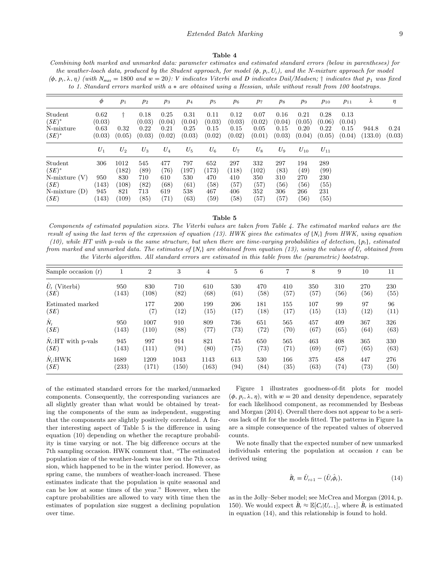#### Extended Batch Marking 9

#### Table 4

*Combining both marked and unmarked data: parameter estimates and estimated standard errors (below in parentheses) for the weather-loach data, produced by the Student approach, for model*  $(\phi, p_t, U_t)$ , and the N-mixture approach for model  $(\phi, p_t, \lambda, \eta)$  (with  $N_{max} = 1800$  and  $w = 20$ ): V *indicates Viterbi and* D *indicates Dail/Madsen;* † *indicates that*  $p_1$  *was fixed to 1. Standard errors marked with a* ∗ *are obtained using a Hessian, while without result from 100 bootstraps.* 

|                    | φ      | $p_1$  | $p_2$  | $p_3$  | $p_4$  | $p_5$  | $p_6$     | $p_7$  | $p_8$     | $p_9$    | $p_{10}$           | $p_{11}$ | л       | $\eta$ |
|--------------------|--------|--------|--------|--------|--------|--------|-----------|--------|-----------|----------|--------------------|----------|---------|--------|
| Student            | 0.62   |        | 0.18   | 0.25   | 0.31   | 0.11   | 0.12      | 0.07   | 0.16      | 0.21     | 0.28               | 0.13     |         |        |
| $(SE)^*$           | (0.03) |        | (0.03) | (0.04) | (0.04) | (0.03) | (0.03)    | (0.02) | (0.04)    | (0.05)   | (0.06)             | (0.04)   |         |        |
| N-mixture          | 0.63   | 0.32   | 0.22   | 0.21   | 0.25   | 0.15   | 0.15      | 0.05   | 0.15      | 0.20     | 0.22               | 0.15     | 944.8   | 0.24   |
| $(SE)^*$           | (0.03) | (0.05) | (0.03) | (0.02) | (0.03) | (0.02) | (0.02)    | (0.01) | (0.03)    | (0.04)   | (0.05)             | (0.04)   | (133.0) | (0.03) |
|                    | $U_1$  | $U_2$  | $U_3$  | $U_4$  | $U_5$  | $U_6$  | $U_7$     | $U_8$  | $U_9$     | $U_{10}$ | $U_{11}$           |          |         |        |
| Student            | 306    | 1012   | 545    | 477    | 797    | 652    | 297       | 332    | 297       | 194      | 289                |          |         |        |
| $(SE)^*$           |        | (182)  | (89)   | (76)   | (197)  | (173)  | (118)     | (102)  | $^{(83)}$ | (49)     | (99)               |          |         |        |
| $N$ -mixture $(V)$ | 950    | 830    | 710    | 610    | 530    | 470    | 410       | 350    | 310       | 270      | 230                |          |         |        |
| (SE)               | (143)  | (108)  | (82)   | (68)   | (61)   | (58)   | $^{(57)}$ | (57)   | (56)      | (56)     | $\left( 55\right)$ |          |         |        |
| $N$ -mixture $(D)$ | 945    | 821    | 713    | 619    | 538    | 467    | 406       | 352    | 306       | 266      | 231                |          |         |        |
| (SE)               | (143)  | (109)  | (85)   | (71)   | (63)   | (59)   | $^{(58)}$ | (57)   | (57)      | (56)     | (55)               |          |         |        |

#### Table 5

*Components of estimated population sizes. The Viterbi values are taken from Table 4. The estimated marked values are the result of using the last term of the expression of equation (13). HWK gives the estimates of*  $\{N_t\}$  *from HWK, using equation*  $(10)$ , while HT with p-vals is the same structure, but when there are time-varying probabilities of detection,  $\{p_t\}$ , estimated *from marked and unmarked data. The estimates of*  $\{N_t\}$  *are obtained from equation (13), using the values of*  $\hat{U}$ , *obtained from the Viterbi algorithm. All standard errors are estimated in this table from the (parametric) bootstrap.*

| Sample occasion $(t)$ |       | $\overline{2}$ | 3         | 4                 | 5                  | 6                  |                       | 8         | 9    | 10   | 11   |
|-----------------------|-------|----------------|-----------|-------------------|--------------------|--------------------|-----------------------|-----------|------|------|------|
| $U_t$ (Viterbi)       | 950   | 830            | 710       | 610               | 530                | 470                | 410                   | 350       | 310  | 270  | 230  |
| (SE)                  | (143) | (108)          | $^{(82)}$ | $^{(68)}$         | (61)               | (58)               | $^{(57)}$             | $^{(57)}$ | (56) | (56) | (55) |
| Estimated marked      |       | 177            | 200       | 199               | 206                | 181                | 155                   | 107       | 99   | 97   | 96   |
| (SE)                  |       | (7)            | (12)      | (15)              | (17)               | (18)               | (17)                  | (15)      | (13) | (12) | (11) |
| $\hat{N}_t$           | 950   | 1007           | 910       | 809               | 736                | 651                | 565                   | 457       | 409  | 367  | 326  |
| (SE)                  | (143) | (110)          | $^{(88)}$ | $^{'}77)$         | $\left( 73\right)$ | $^{(72)}$          | $\left( 70\right)$    | (67)      | (65) | (64) | (63) |
| $N_t$ :HT with p-vals | 945   | 997            | 914       | 821               | 745                | 650                | 565                   | 463       | 408  | 365  | 330  |
| (SE)                  | (143) | (111)          | (91)      | $\left(80\right)$ | $\left( 75\right)$ | $\left( 73\right)$ | $^{\prime}71^{\cdot}$ | (69)      | (67) | (65) | (63) |
| $N_t$ :HWK            | 1689  | 1209           | 1043      | 1143              | 613                | 530                | 166                   | 375       | 458  | 447  | 276  |
| (SE)                  | (233) | (171)          | (150)     | (163)             | (94)               | $^{(84)}$          | $\left( 35\right)$    | (63)      | (74) | (73) | (50) |

of the estimated standard errors for the marked/unmarked components. Consequently, the corresponding variances are all slightly greater than what would be obtained by treating the components of the sum as independent, suggesting that the components are slightly positively correlated. A further interesting aspect of Table 5 is the difference in using equation (10) depending on whether the recapture probability is time varying or not. The big difference occurs at the 7th sampling occasion. HWK comment that, "The estimated population size of the weather-loach was low on the 7th occasion, which happened to be in the winter period. However, as spring came, the numbers of weather-loach increased. These estimates indicate that the population is quite seasonal and can be low at some times of the year." However, when the capture probabilities are allowed to vary with time then the estimates of population size suggest a declining population over time.

Figure 1 illustrates goodness-of-fit plots for model  $(\phi, p_t, \lambda, \eta)$ , with  $w = 20$  and density dependence, separately for each likelihood component, as recommended by [Besbeas](#page-10-0) and Morgan [\(2014\). O](#page-10-0)verall there does not appear to be a serious lack of fit for the models fitted. The patterns in Figure 1a are a simple consequence of the repeated values of observed counts.

We note finally that the expected number of new unmarked individuals entering the population at occasion  $t$  can be derived using

$$
\hat{B}_t = \hat{U}_{t+1} - (\hat{U}_t \hat{\phi}_t), \tag{14}
$$

as in the Jolly–Seber model; see [McCrea and Morgan \(2014, p](#page-10-0). 15[0\).](#page-10-0) We would expect  $\hat{B}_t \approx \mathbb{E}[C_t|U_{t-1}]$ , where  $\hat{B}_t$  is estimated in equation (14), and this relationship is found to hold.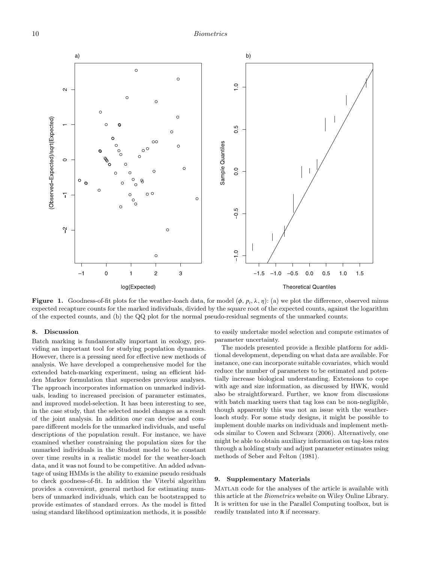<span id="page-10-0"></span>

**Figure 1.** Goodness-of-fit plots for the weather-loach data, for model  $(\phi, p_t, \lambda, \eta)$ : (a) we plot the difference, observed minus expected recapture counts for the marked individuals, divided by the square root of the expected counts, against the logarithm of the expected counts, and (b) the QQ plot for the normal pseudo-residual segments of the unmarked counts.

#### 8. Discussion

Batch marking is fundamentally important in ecology, providing an important tool for studying population dynamics. However, there is a pressing need for effective new methods of analysis. We have developed a comprehensive model for the extended batch-marking experiment, using an efficient hidden Markov formulation that supersedes previous analyses. The approach incorporates information on unmarked individuals, leading to increased precision of parameter estimates, and improved model-selection. It has been interesting to see, in the case study, that the selected model changes as a result of the joint analysis. In addition one can devise and compare different models for the unmarked individuals, and useful descriptions of the population result. For instance, we have examined whether constraining the population sizes for the unmarked individuals in the Student model to be constant over time results in a realistic model for the weather-loach data, and it was not found to be competitive. An added advantage of using HMMs is the ability to examine pseudo residuals to check goodness-of-fit. In addition the Viterbi algorithm provides a convenient, general method for estimating numbers of unmarked individuals, which can be bootstrapped to provide estimates of standard errors. As the model is fitted using standard likelihood optimization methods, it is possible

to easily undertake model selection and compute estimates of parameter uncertainty.

The models presented provide a flexible platform for additional development, depending on what data are available. For instance, one can incorporate suitable covariates, which would reduce the number of parameters to be estimated and potentially increase biological understanding. Extensions to cope with age and size information, as discussed by HWK, would also be straightforward. Further, we know from discussions with batch marking users that tag loss can be non-negligible, though apparently this was not an issue with the weatherloach study. For some study designs, it might be possible to implement double marks on individuals and implement methods similar to Cowen and Schwarz (2006). Alternatively, one might be able to obtain auxiliary information on tag-loss rates through a holding study and adjust parameter estimates using methods of Seber and Felton (1981).

#### 9. Supplementary Materials

Matlab code for the analyses of the article is available with this article at the *Biometrics* website on Wiley Online Library. It is written for use in the Parallel Computing toolbox, but is readily translated into R if necessary.